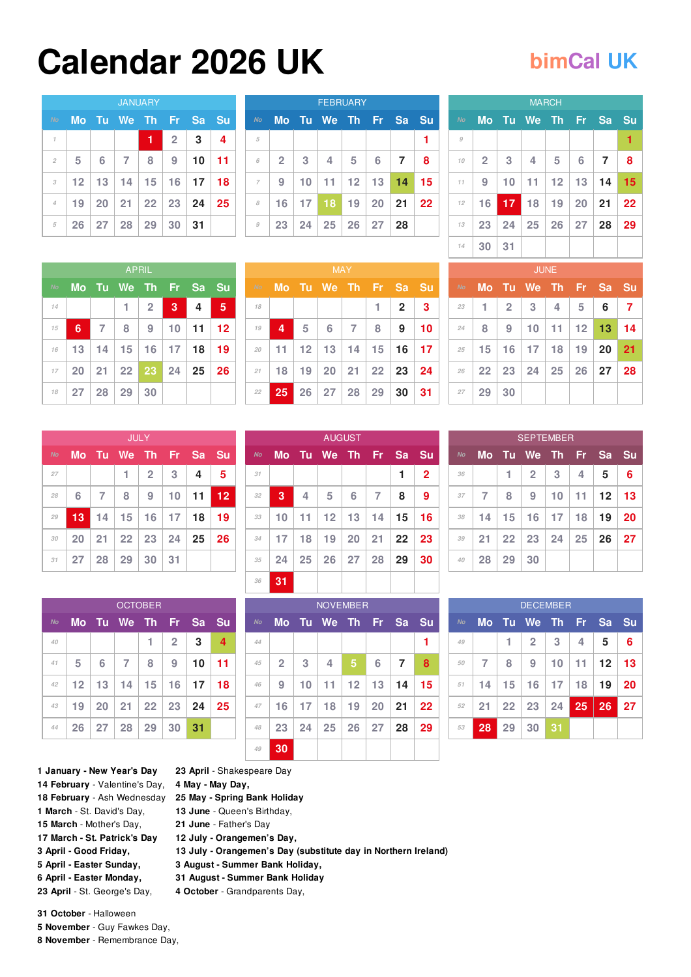## **Calendar 2026 UK [bimCal](https://bimcal.uk) UK**

| <b>JANUARY</b> |    |                 |                |                 |                |    |                         |  |  |  |  |  |
|----------------|----|-----------------|----------------|-----------------|----------------|----|-------------------------|--|--|--|--|--|
| No             | Mo | Tu              | We Th          |                 | - Fr           | Sa | Su                      |  |  |  |  |  |
| $\mathcal I$   |    |                 |                | 1               | $\overline{2}$ | 3  | $\overline{\mathbf{4}}$ |  |  |  |  |  |
| $\mathfrak{D}$ | 5  | 6               | $\overline{7}$ | 8               | 9              | 10 | 11                      |  |  |  |  |  |
| 3              | 12 | 13 <sup>1</sup> | 14             | 15              | 16             | 17 | 18                      |  |  |  |  |  |
| 4              | 19 | 20              | 21             | 22 <sub>1</sub> | 23             | 24 | 25                      |  |  |  |  |  |
| 5              | 26 | 27              | 28             | 29              | 30             | 31 |                         |  |  |  |  |  |

| <b>FEBRUARY</b> |                |    |                 |       |                |                |    |  |  |  |  |
|-----------------|----------------|----|-----------------|-------|----------------|----------------|----|--|--|--|--|
| No              | <b>Mo</b>      | Tu | We The Fri      |       |                | <b>Sa</b>      | Su |  |  |  |  |
| 5               |                |    |                 |       |                |                | 1  |  |  |  |  |
| 6               | $\overline{2}$ | 3  | $\overline{4}$  | 5     | 6              | $\overline{7}$ | 8  |  |  |  |  |
| $\overline{7}$  | 9              | 10 | 11 <sub>1</sub> |       | $12$   13   14 |                | 15 |  |  |  |  |
| 8               | 16             | 17 | 18              | 19    | 20             | 21             | 22 |  |  |  |  |
| $\mathcal{G}$   | 23             | 24 |                 | 25 26 | 27             | 28             |    |  |  |  |  |

|              |                |    |          | <b>MARCH</b>    |           |                |    |
|--------------|----------------|----|----------|-----------------|-----------|----------------|----|
| No           | <b>Mo</b>      |    | Tu We Th |                 | <b>Fr</b> | <b>Sa</b>      | Su |
| $\mathcal G$ |                |    |          |                 |           |                | 1  |
| 10           | $\overline{2}$ | 3  | 4        | 5               | 6         | $\overline{7}$ | 8  |
| 11           | 9              | 10 | 11       | 12 <sub>1</sub> | 13        | 14             | 15 |
| 12           | 16             | 17 | 18       | 19              | 20        | 21             | 22 |
| 13           | 23             | 24 | 25       | 26              | 27        | 28             | 29 |
| 14           | 30             | 31 |          |                 |           |                |    |

|           | <b>APRIL</b> |                 |                 |                |    |                |           |  |  |  |  |  |  |
|-----------|--------------|-----------------|-----------------|----------------|----|----------------|-----------|--|--|--|--|--|--|
| <b>No</b> | <b>Mo</b>    |                 | Tu We Th Fr Sa  |                |    |                | <b>Su</b> |  |  |  |  |  |  |
| 14        |              |                 | 1               | $\overline{2}$ | 3  | $\overline{4}$ | 5         |  |  |  |  |  |  |
| 15        | 6            | $\overline{7}$  | 8               | 9              | 10 | 11             | 12        |  |  |  |  |  |  |
| 16        | 13           | 14              | 15 <sub>1</sub> | 16             | 17 | 18             | 19        |  |  |  |  |  |  |
| 17        | 20           | 21 <sup>1</sup> |                 | 22 23 24       |    | 25             | 26        |  |  |  |  |  |  |
| 18        | 27           | 28              | 29              | 30             |    |                |           |  |  |  |  |  |  |

|    | <b>MAY</b>           |                 |                          |                |              |                |                 |  |  |  |  |  |  |
|----|----------------------|-----------------|--------------------------|----------------|--------------|----------------|-----------------|--|--|--|--|--|--|
| No | Mo Tu We Th Fr Sa Su |                 |                          |                |              |                |                 |  |  |  |  |  |  |
| 18 |                      |                 |                          |                | $\mathbf{1}$ | $\overline{2}$ | 3               |  |  |  |  |  |  |
| 19 | 4                    | $5\phantom{.0}$ | $6\phantom{1}6$          | $\overline{7}$ | 8            | 9              | 10 <sub>1</sub> |  |  |  |  |  |  |
| 20 | 11                   |                 | $12$   13   14   15   16 |                |              |                | 17              |  |  |  |  |  |  |
| 21 | 18                   | $19 \mid 20$    |                          |                | 21 22 23     |                | 24              |  |  |  |  |  |  |
| 22 | 25                   |                 | $26$   27   28   29   30 |                |              |                | 31              |  |  |  |  |  |  |

[AUGUST](https://bimcal.uk/calendar/august-2026)

| <b>JUNE</b> |    |                |                   |                 |                 |           |    |  |  |  |  |  |
|-------------|----|----------------|-------------------|-----------------|-----------------|-----------|----|--|--|--|--|--|
| No          | Mo | <b>Tu</b>      | We The Fr         |                 |                 | <b>Sa</b> | Su |  |  |  |  |  |
| 23          | 1  | $\overline{2}$ | 3                 | 4               | 5               | 6         | 7  |  |  |  |  |  |
| 24          | 8  | 9              | 10                | 11 <sub>1</sub> | 12 <sup>2</sup> | 13        | 14 |  |  |  |  |  |
| 25          | 15 | 16             | 17                | 18              | 19              | 20        | 21 |  |  |  |  |  |
| 26          | 22 |                | $23 \mid 24 \mid$ | 25              | $26 \mid 27$    |           | 28 |  |  |  |  |  |
| 27          | 29 | 30             |                   |                 |                 |           |    |  |  |  |  |  |

|           | <b>JULY</b> |                |                 |                |    |    |    |  |  |  |  |  |  |
|-----------|-------------|----------------|-----------------|----------------|----|----|----|--|--|--|--|--|--|
| <b>No</b> | Mo          | Tu -           |                 | We Th Fr       |    | Sa | Su |  |  |  |  |  |  |
| 27        |             |                | 1               | $\overline{2}$ | 3  | 4  | 5  |  |  |  |  |  |  |
| 28        | 6           | $\overline{7}$ | 8               | 9              | 10 | 11 | 12 |  |  |  |  |  |  |
| 29        | 13          | 14             | 15 <sub>1</sub> | 16             | 17 | 18 | 19 |  |  |  |  |  |  |
| 30        | 20          | 21             |                 | $22 \mid 23$   | 24 | 25 | 26 |  |  |  |  |  |  |
| 31        | 27          | 28             | 29              | 30             | 31 |    |    |  |  |  |  |  |  |

|           | <b>OCTOBER</b>  |                 |                |                  |                 |    |                         |  |  |  |  |  |  |
|-----------|-----------------|-----------------|----------------|------------------|-----------------|----|-------------------------|--|--|--|--|--|--|
| <b>No</b> | Mo              |                 | Tu We Th Fr    |                  |                 | Sa | Su                      |  |  |  |  |  |  |
| 40        |                 |                 |                | 1                | $\overline{2}$  | 3  | $\overline{\mathbf{4}}$ |  |  |  |  |  |  |
| 41        | 5               | 6               | $\overline{7}$ | 8                | 9               | 10 | 11                      |  |  |  |  |  |  |
| 42        | 12 <sub>1</sub> | 13 <sup>1</sup> | 14             | 15 <sup>1</sup>  | 16 <sup>1</sup> | 17 | 18                      |  |  |  |  |  |  |
| 43        | 19              | 20              | 21             | $\vert 22 \vert$ | 23              | 24 | 25                      |  |  |  |  |  |  |
| 44        | 26 <sup>°</sup> | 27              | 28             | 29               | 30              | 31 |                         |  |  |  |  |  |  |

**April** - [Shakespeare](https://bimcal.uk/calendar/shakespeare-day) Day

 **June** - Queen's [Birthday,](https://bimcal.uk/calendar/queen-s-birthday) **June** - [Father's](https://bimcal.uk/calendar/father-s-day) Day **July - [Orangemen's](https://bimcal.uk/calendar/orangemen-s-day) Day,**

 **August - [Summer](https://bimcal.uk/calendar/summer-bank-holiday-scotland) Bank Holiday, August - [Summer](https://bimcal.uk/calendar/summer-bank-holiday) Bank Holiday October** - [Grandparents](https://bimcal.uk/calendar/grandparents-day) Day,

**May - May [Day,](https://bimcal.uk/calendar/may-day)**

*No* **Mo Tu We Th Fr Sa Su [1](https://bimcal.uk/calendar/1-august-2026) [2](https://bimcal.uk/calendar/2-august-2026) [3](https://bimcal.uk/calendar/3-august-2026) [4](https://bimcal.uk/calendar/4-august-2026) [5](https://bimcal.uk/calendar/5-august-2026) [6](https://bimcal.uk/calendar/6-august-2026) [7](https://bimcal.uk/calendar/7-august-2026) [8](https://bimcal.uk/calendar/8-august-2026) [9](https://bimcal.uk/calendar/9-august-2026) [10](https://bimcal.uk/calendar/10-august-2026) [11](https://bimcal.uk/calendar/11-august-2026) [12](https://bimcal.uk/calendar/12-august-2026) [13](https://bimcal.uk/calendar/13-august-2026) [14](https://bimcal.uk/calendar/14-august-2026) [15](https://bimcal.uk/calendar/15-august-2026) [16](https://bimcal.uk/calendar/16-august-2026) [17](https://bimcal.uk/calendar/17-august-2026) [18](https://bimcal.uk/calendar/18-august-2026) [19](https://bimcal.uk/calendar/19-august-2026) [20](https://bimcal.uk/calendar/20-august-2026) [21](https://bimcal.uk/calendar/21-august-2026) [22](https://bimcal.uk/calendar/22-august-2026) [23](https://bimcal.uk/calendar/23-august-2026) [24](https://bimcal.uk/calendar/24-august-2026) [25](https://bimcal.uk/calendar/25-august-2026) [26](https://bimcal.uk/calendar/26-august-2026) [27](https://bimcal.uk/calendar/27-august-2026) [28](https://bimcal.uk/calendar/28-august-2026) [29](https://bimcal.uk/calendar/29-august-2026) [30](https://bimcal.uk/calendar/30-august-2026) [31](https://bimcal.uk/calendar/31-august-2026)** 

| <b>NOVEMBER</b>                                |                |    |    |    |    |                |    |  |  |  |  |  |
|------------------------------------------------|----------------|----|----|----|----|----------------|----|--|--|--|--|--|
| Mo Tu We Th Fr<br><b>Sa</b><br>Su<br><b>No</b> |                |    |    |    |    |                |    |  |  |  |  |  |
| 44                                             |                |    |    |    |    |                |    |  |  |  |  |  |
| 45                                             | $\overline{2}$ | 3  | 4  | 5  | 6  | $\overline{7}$ | 8  |  |  |  |  |  |
| 46                                             | 9              | 10 | 11 | 12 | 13 | 14             | 15 |  |  |  |  |  |
| 47                                             | 16             | 17 | 18 | 19 | 20 | 21             | 22 |  |  |  |  |  |
| 48                                             | 23             | 24 | 25 | 26 | 27 | 28             | 29 |  |  |  |  |  |
| 49                                             | 30             |    |    |    |    |                |    |  |  |  |  |  |

**July - [Orangemen's](https://bimcal.uk/calendar/orangemen-s-day) Day (substitute day in Northern Ireland)**

| <b>SEPTEMBER</b> |                |                 |                |           |    |           |    |  |  |  |  |
|------------------|----------------|-----------------|----------------|-----------|----|-----------|----|--|--|--|--|
| <b>No</b>        | <b>Mo</b>      |                 | Tu We Th Fr    |           |    | <b>Sa</b> | Su |  |  |  |  |
| 36               |                | 1               | $\overline{2}$ | 3         | 4  | 5         | 6  |  |  |  |  |
| 37               | $\overline{7}$ | 8               | 9              | 10        | 11 | $12 \,$   | 13 |  |  |  |  |
| 38               | 14             | 15              | 16             | 17        | 18 | 19        | 20 |  |  |  |  |
| 39               | 21             | 22 <sub>2</sub> | 23             | $\mid$ 24 | 25 | 26        | 27 |  |  |  |  |
| 40               | 28             | 29              | 30             |           |    |           |    |  |  |  |  |

| <b>DECEMBER</b> |           |    |                |    |    |    |           |  |  |  |  |
|-----------------|-----------|----|----------------|----|----|----|-----------|--|--|--|--|
| <b>No</b>       | <b>Mo</b> | Tu | We Th Fr       |    |    | Sa | <b>Su</b> |  |  |  |  |
| 49              |           | 1  | $\overline{2}$ | 3  | 4  | 5  | 6         |  |  |  |  |
| 50              | 7         | 8  | 9              | 10 | 11 | 12 | 13        |  |  |  |  |
| 51              | 14        | 15 | 16             | 17 | 18 | 19 | 20        |  |  |  |  |
| 52              | 21        | 22 | $\vert$ 23     | 24 | 25 | 26 | 27        |  |  |  |  |
| 53              | 28        | 29 | 30             | 31 |    |    |           |  |  |  |  |

 **[January](https://bimcal.uk/calendar/new-year-s-day) - New Year's Day February** - [Valentine's](https://bimcal.uk/calendar/valentine-s-day) Day, **February** - Ash [Wednesday](https://bimcal.uk/calendar/ash-wednesday) **25 May - Spring Bank [Holiday](https://bimcal.uk/calendar/spring-bank-holiday) March** - St. [David's](https://bimcal.uk/calendar/st-david-s-day) Day, **March** - [Mother's](https://bimcal.uk/calendar/mother-s-day) Day, **March - St. [Patrick's](https://bimcal.uk/calendar/st-patrick-s-day) Day April - Good [Friday,](https://bimcal.uk/calendar/good-friday) April - Easter [Sunday,](https://bimcal.uk/calendar/easter-sunday) April - Easter [Monday,](https://bimcal.uk/calendar/easter-monday) April** - St. [George's](https://bimcal.uk/calendar/st-george-s-day) Day,

 **October** - [Halloween](https://bimcal.uk/calendar/halloween) **[November](https://bimcal.uk/calendar/guy-fawkes-day)** - Guy Fawkes Day,

**November** - [Remembrance](https://bimcal.uk/calendar/remembrance-day) Day,